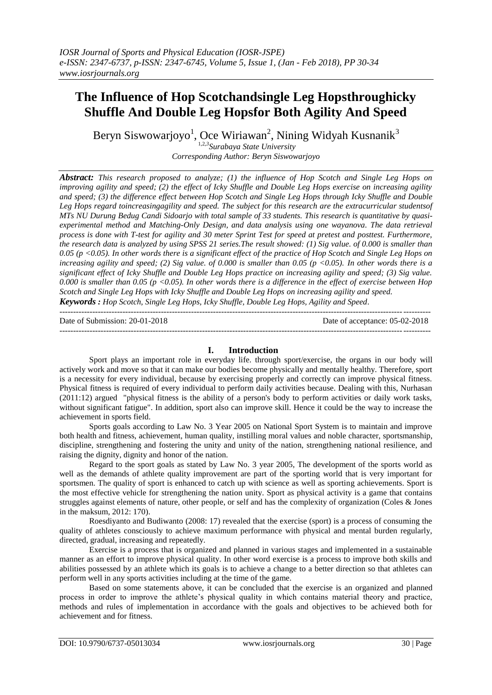# **The Influence of Hop Scotchandsingle Leg Hopsthroughicky Shuffle And Double Leg Hopsfor Both Agility And Speed**

Beryn Siswowarjoyo<sup>1</sup>, Oce Wiriawan<sup>2</sup>, Nining Widyah Kusnanik<sup>3</sup> 1,2,*3 Surabaya State University*

*Corresponding Author: Beryn Siswowarjoyo*

*Abstract: This research proposed to analyze; (1) the influence of Hop Scotch and Single Leg Hops on improving agility and speed; (2) the effect of Icky Shuffle and Double Leg Hops exercise on increasing agility and speed; (3) the difference effect between Hop Scotch and Single Leg Hops through Icky Shuffle and Double Leg Hops regard toincreasingagility and speed. The subject for this research are the extracurricular studentsof MTs NU Durung Bedug Candi Sidoarjo with total sample of 33 students. This research is quantitative by quasiexperimental method and Matching-Only Design, and data analysis using one wayanova. The data retrieval process is done with T-test for agility and 30 meter Sprint Test for speed at pretest and posttest. Furthermore, the research data is analyzed by using SPSS 21 series.The result showed: (1) Sig value. of 0.000 is smaller than 0.05 (p <0.05). In other words there is a significant effect of the practice of Hop Scotch and Single Leg Hops on increasing agility and speed; (2) Sig value. of 0.000 is smaller than 0.05 (p <0.05). In other words there is a significant effect of Icky Shuffle and Double Leg Hops practice on increasing agility and speed; (3) Sig value. 0.000 is smaller than 0.05 (p <0.05). In other words there is a difference in the effect of exercise between Hop Scotch and Single Leg Hops with Icky Shuffle and Double Leg Hops on increasing agility and speed.*

*Keywords : Hop Scotch, Single Leg Hops, Icky Shuffle, Double Leg Hops, Agility and Speed.* ---------------------------------------------------------------------------------------------------------------------------------------

Date of Submission: 20-01-2018 Date of acceptance: 05-02-2018 ---------------------------------------------------------------------------------------------------------------------------------------

# **I. Introduction**

Sport plays an important role in everyday life. through sport/exercise, the organs in our body will actively work and move so that it can make our bodies become physically and mentally healthy. Therefore, sport is a necessity for every individual, because by exercising properly and correctly can improve physical fitness. Physical fitness is required of every individual to perform daily activities because. Dealing with this, Nurhasan (2011:12) argued "physical fitness is the ability of a person's body to perform activities or daily work tasks, without significant fatigue". In addition, sport also can improve skill. Hence it could be the way to increase the achievement in sports field.

Sports goals according to Law No. 3 Year 2005 on National Sport System is to maintain and improve both health and fitness, achievement, human quality, instilling moral values and noble character, sportsmanship, discipline, strengthening and fostering the unity and unity of the nation, strengthening national resilience, and raising the dignity, dignity and honor of the nation.

Regard to the sport goals as stated by Law No. 3 year 2005, The development of the sports world as well as the demands of athlete quality improvement are part of the sporting world that is very important for sportsmen. The quality of sport is enhanced to catch up with science as well as sporting achievements. Sport is the most effective vehicle for strengthening the nation unity. Sport as physical activity is a game that contains struggles against elements of nature, other people, or self and has the complexity of organization (Coles & Jones in the maksum, 2012: 170).

Roesdiyanto and Budiwanto (2008: 17) revealed that the exercise (sport) is a process of consuming the quality of athletes consciously to achieve maximum performance with physical and mental burden regularly, directed, gradual, increasing and repeatedly.

Exercise is a process that is organized and planned in various stages and implemented in a sustainable manner as an effort to improve physical quality. In other word exercise is a process to improve both skills and abilities possessed by an athlete which its goals is to achieve a change to a better direction so that athletes can perform well in any sports activities including at the time of the game.

Based on some statements above, it can be concluded that the exercise is an organized and planned process in order to improve the athlete's physical quality in which contains material theory and practice, methods and rules of implementation in accordance with the goals and objectives to be achieved both for achievement and for fitness.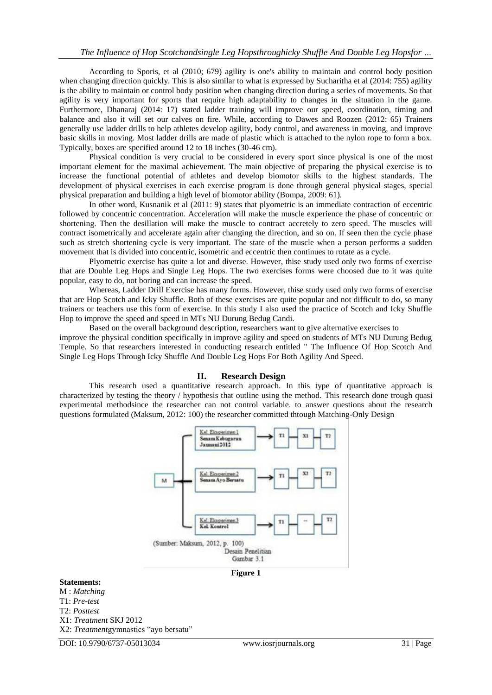According to Sporis, et al (2010; 679) agility is one's ability to maintain and control body position when changing direction quickly. This is also similar to what is expressed by Sucharitha et al (2014: 755) agility is the ability to maintain or control body position when changing direction during a series of movements. So that agility is very important for sports that require high adaptability to changes in the situation in the game. Furthermore, Dhanaraj (2014: 17) stated ladder training will improve our speed, coordination, timing and balance and also it will set our calves on fire. While, according to Dawes and Roozen (2012: 65) Trainers generally use ladder drills to help athletes develop agility, body control, and awareness in moving, and improve basic skills in moving. Most ladder drills are made of plastic which is attached to the nylon rope to form a box. Typically, boxes are specified around 12 to 18 inches (30-46 cm).

Physical condition is very crucial to be considered in every sport since physical is one of the most important element for the maximal achievement. The main objective of preparing the physical exercise is to increase the functional potential of athletes and develop biomotor skills to the highest standards. The development of physical exercises in each exercise program is done through general physical stages, special physical preparation and building a high level of biomotor ability (Bompa, 2009: 61).

In other word, Kusnanik et al (2011: 9) states that plyometric is an immediate contraction of eccentric followed by concentric concentration. Acceleration will make the muscle experience the phase of concentric or shortening. Then the desillation will make the muscle to contract accretely to zero speed. The muscles will contract isometrically and accelerate again after changing the direction, and so on. If seen then the cycle phase such as stretch shortening cycle is very important. The state of the muscle when a person performs a sudden movement that is divided into concentric, isometric and eccentric then continues to rotate as a cycle.

Plyometric exercise has quite a lot and diverse. However, thise study used only two forms of exercise that are Double Leg Hops and Single Leg Hops. The two exercises forms were choosed due to it was quite popular, easy to do, not boring and can increase the speed.

Whereas, Ladder Drill Exercise has many forms. However, thise study used only two forms of exercise that are Hop Scotch and Icky Shuffle. Both of these exercises are quite popular and not difficult to do, so many trainers or teachers use this form of exercise. In this study I also used the practice of Scotch and Icky Shuffle Hop to improve the speed and speed in MTs NU Durung Bedug Candi.

Based on the overall background description, researchers want to give alternative exercises to improve the physical condition specifically in improve agility and speed on students of MTs NU Durung Bedug Temple. So that researchers interested in conducting research entitled " The Influence Of Hop Scotch And Single Leg Hops Through Icky Shuffle And Double Leg Hops For Both Agility And Speed.

#### **II. Research Design**

This research used a quantitative research approach. In this type of quantitative approach is characterized by testing the theory / hypothesis that outline using the method. This research done trough quasi experimental methodsince the researcher can not control variable. to answer questions about the research questions formulated (Maksum, 2012: 100) the researcher committed thtough Matching-Only Design



#### **Statements:**

M : *Matching* T1: *Pre-test* T2: *Posttest* X1: *Treatment* SKJ 2012 X2: *Treatment*gymnastics "ayo bersatu"

DOI: 10.9790/6737-05013034 www.iosrjournals.org 31 | Page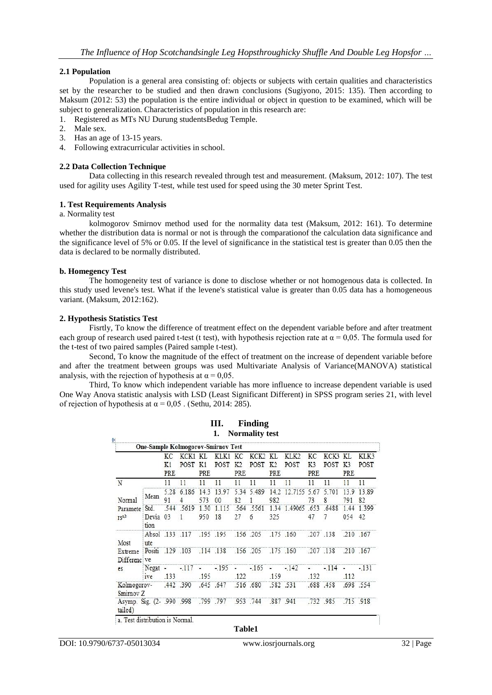# **2.1 Population**

Population is a general area consisting of: objects or subjects with certain qualities and characteristics set by the researcher to be studied and then drawn conclusions (Sugiyono, 2015: 135). Then according to Maksum (2012: 53) the population is the entire individual or object in question to be examined, which will be subject to generalization. Characteristics of population in this research are:

- 1. Registered as MTs NU Durung studentsBedug Temple.
- 2. Male sex.
- 3. Has an age of 13-15 years.
- 4. Following extracurricular activities in school.

## **2.2 Data Collection Technique**

Data collecting in this research revealed through test and measurement. (Maksum, 2012: 107). The test used for agility uses Agility T-test, while test used for speed using the 30 meter Sprint Test.

#### **1. Test Requirements Analysis**

#### a. Normality test

kolmogorov Smirnov method used for the normality data test (Maksum, 2012: 161). To determine whether the distribution data is normal or not is through the comparationof the calculation data significance and the significance level of 5% or 0.05. If the level of significance in the statistical test is greater than 0.05 then the data is declared to be normally distributed.

#### **b. Homegency Test**

The homogeneity test of variance is done to disclose whether or not homogenous data is collected. In this study used levene's test. What if the levene's statistical value is greater than 0.05 data has a homogeneous variant. (Maksum, 2012:162).

#### **2. Hypothesis Statistics Test**

Fisrtly, To know the difference of treatment effect on the dependent variable before and after treatment each group of research used paired t-test (t test), with hypothesis rejection rate at  $\alpha = 0.05$ . The formula used for the t-test of two paired samples (Paired sample t-test).

Second, To know the magnitude of the effect of treatment on the increase of dependent variable before and after the treatment between groups was used Multivariate Analysis of Variance(MANOVA) statistical analysis, with the rejection of hypothesis at  $\alpha = 0.05$ .

Third, To know which independent variable has more influence to increase dependent variable is used One Way Anova statistic analysis with LSD (Least Significant Different) in SPSS program series 21, with level of rejection of hypothesis at  $\alpha = 0.05$ . (Sethu, 2014: 285).

**III. Finding**

|                                              |                        |                 |                            |             | One-Sample Kolmogorov-Smirnov Test |                       |                          |                              |                                                          |                             |              |                              |              |
|----------------------------------------------|------------------------|-----------------|----------------------------|-------------|------------------------------------|-----------------------|--------------------------|------------------------------|----------------------------------------------------------|-----------------------------|--------------|------------------------------|--------------|
|                                              |                        | КC<br>K1<br>PRE | KCK1 KL<br>POST            | K1<br>PRE   | KLK1 KC<br>POST                    | K <sub>2</sub><br>PRE | KCK <sub>2</sub><br>POST | KL.<br>K <sub>2</sub><br>PRE | KLK2<br>POST                                             | KС<br>K <sub>3</sub><br>PRE | KCK3<br>POST | KI.<br>K <sub>3</sub><br>PRE | KLK3<br>POST |
| N                                            |                        | 11              | 11                         | 11          | 11                                 | 11                    | 11                       | 11                           | 11                                                       | 11                          | 11           | 11                           | 11           |
| Normal<br>Paramete<br>rs <sup>1,b</sup>      | Mean                   | 91              | 5.28 6.186<br>4            | 14.3<br>573 | 13.97<br>00                        | 5.34<br>82            | 5.489<br>1               | 14.2<br>982                  | 12.7155                                                  | 5.67<br>73                  | 5.701<br>8   | 13.9<br>791                  | 13.89<br>82  |
|                                              | Std.<br>Devia<br>tion  | 03              | .544 .5619<br>$\mathbf{1}$ | 1.30<br>950 | 1.115<br>18                        | 27                    | .564 .5561<br>6          | 325                          | 1.34 1.49065 .653                                        | 47                          | .6488        | 1.44<br>054                  | 1.399<br>42  |
| Most<br>Extreme<br>Differenc ve<br>es.       | Absol .133 .117<br>ute |                 |                            |             | $.195$ $.195$                      |                       | .156 .205                |                              | $.175$ $.160$                                            |                             | .207.138     | .210 .167                    |              |
|                                              |                        |                 |                            |             |                                    |                       |                          |                              | Positi .129 .103 .114 .138 .156 .205 .175 .160 .207 .138 |                             |              | .210 .167                    |              |
|                                              | $Negat -$<br>ive       | .133            | $-.117 -$                  | .195        | $-.195$                            | .122                  | $ -165$ $-$              | .159                         | $-142$                                                   | .132                        | $-114$       | .112                         | $-131$       |
| Kolmogorov- .442 .390<br>Smimov <sub>Z</sub> |                        |                 |                            |             | .645 .647                          |                       | .516 .680                |                              | .582 .531                                                |                             | .688.458     |                              | .698 .554    |
| Asymp. Sig. (2- .990 .998)<br>tailed)        |                        |                 |                            |             | .799.797                           |                       | .953 .744                |                              | .887 .941                                                |                             | .732 .985    | .715 .918                    |              |

**Table1**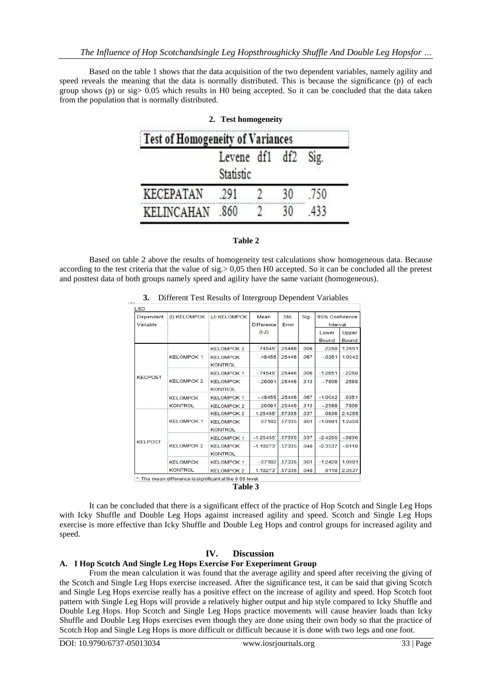Based on the table 1 shows that the data acquisition of the two dependent variables, namely agility and speed reveals the meaning that the data is normally distributed. This is because the significance (p) of each group shows (p) or sig> 0.05 which results in H0 being accepted. So it can be concluded that the data taken from the population that is normally distributed.

|                                         | 2. Test homogeneity     |                 |      |
|-----------------------------------------|-------------------------|-----------------|------|
| <b>Test of Homogeneity of Variances</b> |                         |                 |      |
|                                         | Levene df1<br>Statistic | df <sub>2</sub> | Sig. |
| KECEPATAN                               | 291                     |                 | 750  |
| KELINCAHAN                              | 860                     |                 | 433  |

#### **Table 2**

Based on table 2 above the results of homogeneity test calculations show homogeneous data. Because according to the test criteria that the value of sig.> 0,05 then H0 accepted. So it can be concluded all the pretest and posttest data of both groups namely speed and agility have the same variant (homogeneous).

| Dependent<br>Variable |                                   | (I) KELOMPOK (J) KELOMPOK         | Mean<br>Difference | Std.<br>Error | Sig. | 95% Confidence<br>Interval |                |
|-----------------------|-----------------------------------|-----------------------------------|--------------------|---------------|------|----------------------------|----------------|
|                       |                                   |                                   | $(I-J)$            |               |      | Lower<br>Bound             | Upper<br>Bound |
| <b>KECPOST</b>        | <b>KELOMPOK 1</b>                 | <b>KELOMPOK 2</b>                 | .74545             | .25446        | .006 | .2258                      | 1.2651         |
|                       |                                   | <b>KELOMPOK</b><br><b>KONTROL</b> | .48455             | 25446         | 067  | $-0.351$                   | 1.0042         |
|                       | <b>KELOMPOK 2</b>                 | <b>KELOMPOK 1</b>                 | $-74545$           | .25446        | .006 | $-1.2651$                  | $-2258$        |
|                       |                                   | <b>KELOMPOK</b><br><b>KONTROL</b> | $-26091$           | .25446        | .313 | $-7806$                    | .2588          |
|                       | <b>KELOMPOK</b><br><b>KONTROL</b> | <b>KELOMPOK 1</b>                 | $-48455$           | .25446        | .067 | $-1.0042$                  | .0351          |
|                       |                                   | <b>KELOMPOK 2</b>                 | 26091              | 25446         | 313  | $-2588$                    | .7806          |
| <b>KELPOST</b>        |                                   | <b>KELOMPOK 2</b>                 | 1.25455            | .57335        | .037 | .0836                      | 2.4255         |
|                       | <b>KELOMPOK 1</b>                 | <b>KELOMPOK</b><br><b>KONTROL</b> | 07182              | .57335        | .901 | $-1.0991$                  | 1.2428         |
|                       |                                   | <b>KELOMPOK 1</b>                 | $-1.25455$         | .57335        | .037 | $-2.4255$                  | $-0836$        |
|                       | <b>KELOMPOK 2</b>                 | <b>KELOMPOK</b><br><b>KONTROL</b> | $-1.18273'$        | 57335         | .048 | $-2.3537$                  | $-0118$        |
|                       | <b>KELOMPOK</b>                   | <b>KELOMPOK 1</b>                 | $-07182$           | 57335         | .901 | $-1.2428$                  | 1.0991         |
|                       | <b>KONTROL</b>                    | <b>KELOMPOK 2</b>                 | 1.18273            | .57335        | 048  | .0118                      | 2.3537         |

**3.** Different Test Results of Intergroup Dependent Variables

\*. The mean difference is significant at the 0.05 level. **Table 3**

It can be concluded that there is a significant effect of the practice of Hop Scotch and Single Leg Hops with Icky Shuffle and Double Leg Hops against increased agility and speed. Scotch and Single Leg Hops exercise is more effective than Icky Shuffle and Double Leg Hops and control groups for increased agility and speed.

# **IV. Discussion**

# **A. I Hop Scotch And Single Leg Hops Exercise For Exeperiment Group**

From the mean calculation it was found that the average agility and speed after receiving the giving of the Scotch and Single Leg Hops exercise increased. After the significance test, it can be said that giving Scotch and Single Leg Hops exercise really has a positive effect on the increase of agility and speed. Hop Scotch foot pattern with Single Leg Hops will provide a relatively higher output and hip style compared to Icky Shuffle and Double Leg Hops. Hop Scotch and Single Leg Hops practice movements will cause heavier loads than Icky Shuffle and Double Leg Hops exercises even though they are done using their own body so that the practice of Scotch Hop and Single Leg Hops is more difficult or difficult because it is done with two legs and one foot.